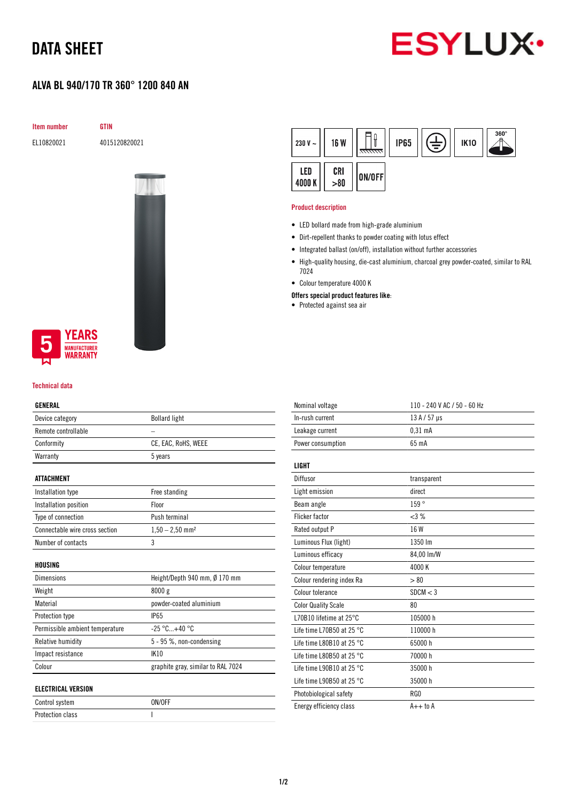# DATA SHEET

# **ESYLUX**

## ALVA BL 940/170 TR 360° 1200 840 AN

Item number GTIN

EL10820021 4015120820021



### **YEARS NUFACTURER** WARRANTY

#### Technical data

#### GENERAL

| ulnlnal                         |                                    |  |
|---------------------------------|------------------------------------|--|
| Device category                 | <b>Bollard light</b>               |  |
| Remote controllable             |                                    |  |
| Conformity                      | CE, EAC, RoHS, WEEE                |  |
| Warranty                        | 5 years                            |  |
| ATTACHMENT                      |                                    |  |
| Installation type               | Free standing                      |  |
| Installation position           | Floor                              |  |
| Type of connection              | Push terminal                      |  |
| Connectable wire cross section  | $1,50 - 2,50$ mm <sup>2</sup>      |  |
| Number of contacts              | 3                                  |  |
| HOUSING                         |                                    |  |
| Dimensions                      | Height/Depth 940 mm, Ø 170 mm      |  |
| Weight                          | 8000g                              |  |
| Material                        | powder-coated aluminium            |  |
| Protection type                 | <b>IP65</b>                        |  |
| Permissible ambient temperature | $-25 °C+40 °C$                     |  |
| Relative humidity               | 5 - 95 %, non-condensing           |  |
| Impact resistance               | <b>IK10</b>                        |  |
| Colour                          | graphite gray, similar to RAL 7024 |  |
| <b>ELECTRICAL VERSION</b>       |                                    |  |
| Control system                  | ON/OFF                             |  |

Protection class and a set of the set of the set of the set of the set of the set of the set of the set of the

| 230 V $\sim$  | <b>16 W</b> | <del>ललल</del> | <b>IP65</b> | ≑ | <b>IK10</b> | $360^\circ$ |
|---------------|-------------|----------------|-------------|---|-------------|-------------|
| LED<br>4000 K | CRI > 80    | ON/OFF         |             |   |             |             |

#### Product description

- LED bollard made from high-grade aluminium
- Dirt-repellent thanks to powder coating with lotus effect
- Integrated ballast (on/off), installation without further accessories
- High-quality housing, die-cast aluminium, charcoal grey powder-coated, similar to RAL 7024
- Colour temperature 4000 K
- Offers special product features like:
- Protected against sea air

| Nominal voltage                     | 110 - 240 V AC / 50 - 60 Hz |
|-------------------------------------|-----------------------------|
| In-rush current                     | $13A/57$ µs                 |
| Leakage current                     | $0.31$ mA                   |
| Power consumption                   | 65 mA                       |
| LIGHT                               |                             |
| Diffusor                            | transparent                 |
| Light emission                      | direct                      |
| Beam angle                          | 159°                        |
| <b>Flicker factor</b>               | <3%                         |
| Rated output P                      | 16 W                        |
| Luminous Flux (light)               | 1350 lm                     |
| Luminous efficacy                   | 84,00 lm/W                  |
| Colour temperature                  | 4000K                       |
| Colour rendering index Ra           | > 80                        |
| Colour tolerance                    | SDCM < 3                    |
| <b>Color Quality Scale</b>          | 80                          |
| L70B10 lifetime at 25°C             | 105000 h                    |
| Life time L70B50 at 25 $^{\circ}$ C | 110000 h                    |
| Life time L80B10 at 25 $^{\circ}$ C | 65000h                      |
| Life time L80B50 at 25 $^{\circ}$ C | 70000 h                     |
| Life time L90B10 at 25 $^{\circ}$ C | 35000h                      |
| Life time L90B50 at 25 $^{\circ}$ C | 35000h                      |
| Photobiological safety              | RG0                         |
| Energy efficiency class             | $A++$ to $A$                |
|                                     |                             |